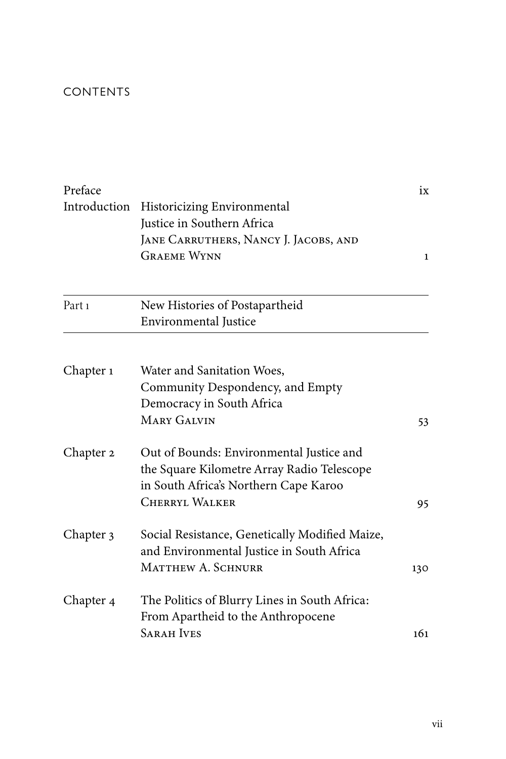## CONTENTS

| Preface                          |                                                                                                                                 | ix<br>$\mathbf{1}$ |                   |                                |  |
|----------------------------------|---------------------------------------------------------------------------------------------------------------------------------|--------------------|-------------------|--------------------------------|--|
| Introduction                     | <b>Historicizing Environmental</b><br>Justice in Southern Africa<br>JANE CARRUTHERS, NANCY J. JACOBS, AND<br><b>GRAEME WYNN</b> |                    |                   |                                |  |
|                                  |                                                                                                                                 |                    | Part <sub>1</sub> | New Histories of Postapartheid |  |
|                                  |                                                                                                                                 |                    |                   | Environmental Justice          |  |
|                                  |                                                                                                                                 |                    | Chapter 1         | Water and Sanitation Woes,     |  |
| Community Despondency, and Empty |                                                                                                                                 |                    |                   |                                |  |
| Democracy in South Africa        |                                                                                                                                 |                    |                   |                                |  |
| <b>MARY GALVIN</b>               | 53                                                                                                                              |                    |                   |                                |  |
| Chapter 2                        | Out of Bounds: Environmental Justice and                                                                                        |                    |                   |                                |  |
|                                  | the Square Kilometre Array Radio Telescope                                                                                      |                    |                   |                                |  |
|                                  | in South Africa's Northern Cape Karoo                                                                                           |                    |                   |                                |  |
|                                  | <b>CHERRYL WALKER</b>                                                                                                           | 95                 |                   |                                |  |
| Chapter 3                        | Social Resistance, Genetically Modified Maize,                                                                                  |                    |                   |                                |  |
|                                  | and Environmental Justice in South Africa                                                                                       |                    |                   |                                |  |
|                                  | MATTHEW A. SCHNURR                                                                                                              | 130                |                   |                                |  |
| Chapter 4                        | The Politics of Blurry Lines in South Africa:                                                                                   |                    |                   |                                |  |
|                                  | From Apartheid to the Anthropocene                                                                                              |                    |                   |                                |  |
|                                  | <b>SARAH IVES</b>                                                                                                               | 161                |                   |                                |  |